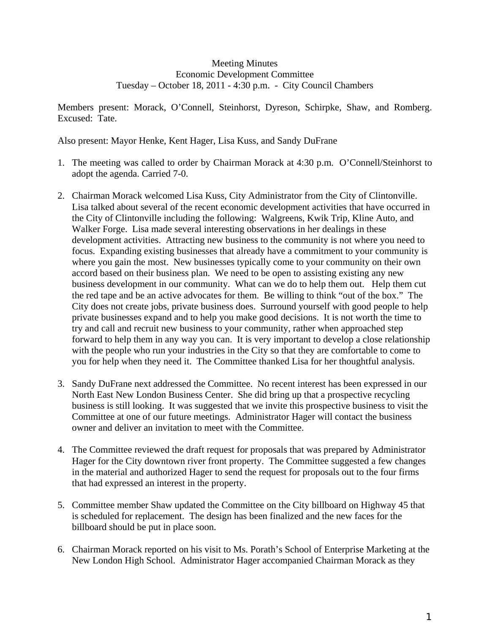## Meeting Minutes Economic Development Committee Tuesday – October 18, 2011 - 4:30 p.m. - City Council Chambers

Members present: Morack, O'Connell, Steinhorst, Dyreson, Schirpke, Shaw, and Romberg. Excused: Tate.

Also present: Mayor Henke, Kent Hager, Lisa Kuss, and Sandy DuFrane

- 1. The meeting was called to order by Chairman Morack at 4:30 p.m. O'Connell/Steinhorst to adopt the agenda. Carried 7-0.
- 2. Chairman Morack welcomed Lisa Kuss, City Administrator from the City of Clintonville. Lisa talked about several of the recent economic development activities that have occurred in the City of Clintonville including the following: Walgreens, Kwik Trip, Kline Auto, and Walker Forge. Lisa made several interesting observations in her dealings in these development activities. Attracting new business to the community is not where you need to focus. Expanding existing businesses that already have a commitment to your community is where you gain the most. New businesses typically come to your community on their own accord based on their business plan. We need to be open to assisting existing any new business development in our community. What can we do to help them out. Help them cut the red tape and be an active advocates for them. Be willing to think "out of the box." The City does not create jobs, private business does. Surround yourself with good people to help private businesses expand and to help you make good decisions. It is not worth the time to try and call and recruit new business to your community, rather when approached step forward to help them in any way you can. It is very important to develop a close relationship with the people who run your industries in the City so that they are comfortable to come to you for help when they need it. The Committee thanked Lisa for her thoughtful analysis.
- 3. Sandy DuFrane next addressed the Committee. No recent interest has been expressed in our North East New London Business Center. She did bring up that a prospective recycling business is still looking. It was suggested that we invite this prospective business to visit the Committee at one of our future meetings. Administrator Hager will contact the business owner and deliver an invitation to meet with the Committee.
- 4. The Committee reviewed the draft request for proposals that was prepared by Administrator Hager for the City downtown river front property. The Committee suggested a few changes in the material and authorized Hager to send the request for proposals out to the four firms that had expressed an interest in the property.
- 5. Committee member Shaw updated the Committee on the City billboard on Highway 45 that is scheduled for replacement. The design has been finalized and the new faces for the billboard should be put in place soon.
- 6. Chairman Morack reported on his visit to Ms. Porath's School of Enterprise Marketing at the New London High School. Administrator Hager accompanied Chairman Morack as they